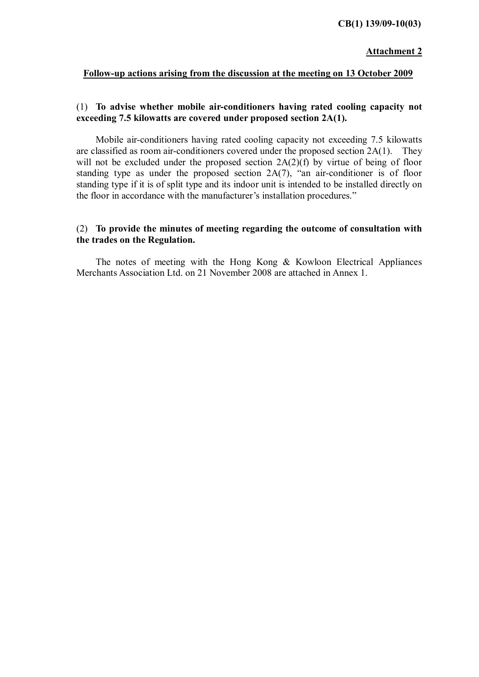#### **CB(1) 139/09-10(03)**

#### Attachment 2

#### Follow-up actions arising from the discussion at the meeting on 13 October 2009

#### (1) To advise whether mobile air-conditioners having rated cooling capacity not exceeding 7.5 kilowatts are covered under proposed section 2A(1).

 Mobile air-conditioners having rated cooling capacity not exceeding 7.5 kilowatts are classified as room air-conditioners covered under the proposed section 2A(1). They will not be excluded under the proposed section  $2A(2)(f)$  by virtue of being of floor standing type as under the proposed section 2A(7), "an air-conditioner is of floor standing type if it is of split type and its indoor unit is intended to be installed directly on the floor in accordance with the manufacturer's installation procedures."

#### (2) To provide the minutes of meeting regarding the outcome of consultation with the trades on the Regulation.

 The notes of meeting with the Hong Kong & Kowloon Electrical Appliances Merchants Association Ltd. on 21 November 2008 are attached in Annex 1.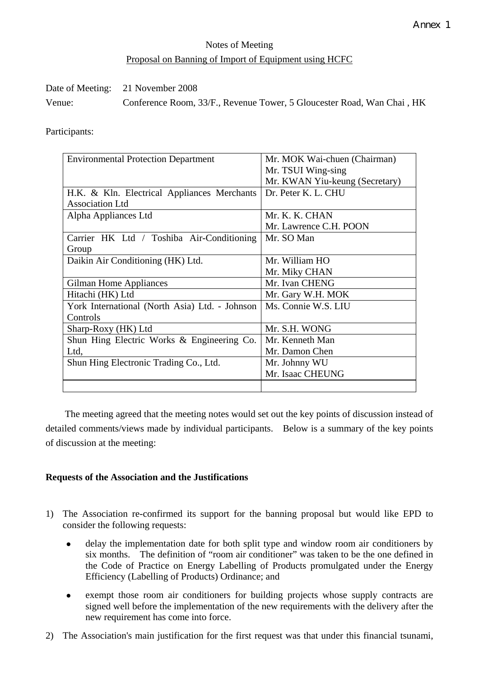# Notes of Meeting Proposal on Banning of Import of Equipment using HCFC

|        | Date of Meeting: 21 November 2008                                      |
|--------|------------------------------------------------------------------------|
| Venue: | Conference Room, 33/F., Revenue Tower, 5 Gloucester Road, Wan Chai, HK |

Participants:

| <b>Environmental Protection Department</b>     | Mr. MOK Wai-chuen (Chairman)   |
|------------------------------------------------|--------------------------------|
|                                                | Mr. TSUI Wing-sing             |
|                                                | Mr. KWAN Yiu-keung (Secretary) |
| H.K. & Kln. Electrical Appliances Merchants    | Dr. Peter K. L. CHU            |
| <b>Association Ltd</b>                         |                                |
| Alpha Appliances Ltd                           | Mr. K. K. CHAN                 |
|                                                | Mr. Lawrence C.H. POON         |
| Carrier HK Ltd / Toshiba Air-Conditioning      | Mr. SO Man                     |
| Group                                          |                                |
| Daikin Air Conditioning (HK) Ltd.              | Mr. William HO                 |
|                                                | Mr. Miky CHAN                  |
| Gilman Home Appliances                         | Mr. Ivan CHENG                 |
| Hitachi (HK) Ltd                               | Mr. Gary W.H. MOK              |
| York International (North Asia) Ltd. - Johnson | Ms. Connie W.S. LIU            |
| Controls                                       |                                |
| Sharp-Roxy (HK) Ltd                            | Mr. S.H. WONG                  |
| Shun Hing Electric Works & Engineering Co.     | Mr. Kenneth Man                |
| Ltd,                                           | Mr. Damon Chen                 |
| Shun Hing Electronic Trading Co., Ltd.         | Mr. Johnny WU                  |
|                                                | Mr. Isaac CHEUNG               |
|                                                |                                |

 The meeting agreed that the meeting notes would set out the key points of discussion instead of detailed comments/views made by individual participants. Below is a summary of the key points of discussion at the meeting:

# **Requests of the Association and the Justifications**

- 1) The Association re-confirmed its support for the banning proposal but would like EPD to consider the following requests:
	- delay the implementation date for both split type and window room air conditioners by six months. The definition of "room air conditioner" was taken to be the one defined in the Code of Practice on Energy Labelling of Products promulgated under the Energy Efficiency (Labelling of Products) Ordinance; and
	- exempt those room air conditioners for building projects whose supply contracts are signed well before the implementation of the new requirements with the delivery after the new requirement has come into force.
- 2) The Association's main justification for the first request was that under this financial tsunami,